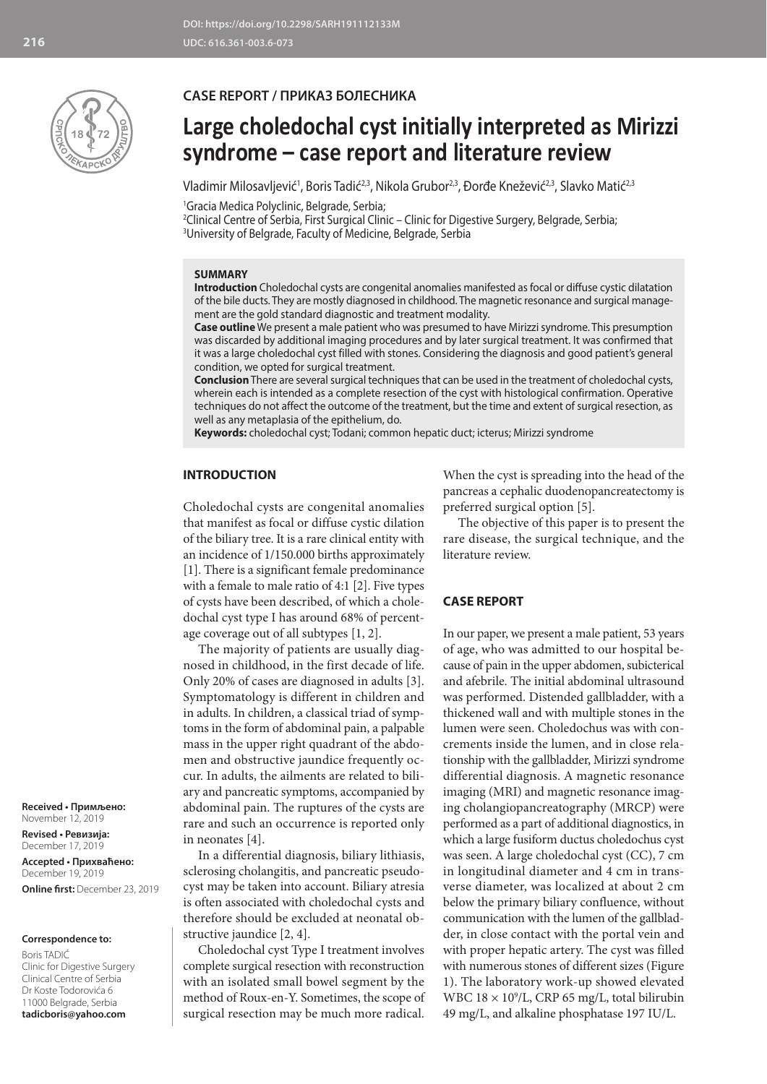

## **CASE REPORT / ПРИКАЗ БОЛЕСНИКА**

# **Large choledochal cyst initially interpreted as Mirizzi syndrome – case report and literature review**

Vladimir Milosavljević<sup>1</sup>, Boris Tadić<sup>2,3</sup>, Nikola Grubor<sup>2,3</sup>, Đorđe Knežević<sup>2,3</sup>, Slavko Matić<sup>2,3</sup>

1 Gracia Medica Polyclinic, Belgrade, Serbia;

2 Clinical Centre of Serbia, First Surgical Clinic – Clinic for Digestive Surgery, Belgrade, Serbia; 3 University of Belgrade, Faculty of Medicine, Belgrade, Serbia

## **SUMMARY**

**Introduction** Choledochal cysts are congenital anomalies manifested as focal or diffuse cystic dilatation of the bile ducts. They are mostly diagnosed in childhood. The magnetic resonance and surgical management are the gold standard diagnostic and treatment modality.

**Case outline** We present a male patient who was presumed to have Mirizzi syndrome. This presumption was discarded by additional imaging procedures and by later surgical treatment. It was confirmed that it was a large choledochal cyst filled with stones. Considering the diagnosis and good patient's general condition, we opted for surgical treatment.

**Conclusion** There are several surgical techniques that can be used in the treatment of choledochal cysts, wherein each is intended as a complete resection of the cyst with histological confirmation. Operative techniques do not affect the outcome of the treatment, but the time and extent of surgical resection, as well as any metaplasia of the epithelium, do.

**Keywords:** choledochal cyst; Todani; common hepatic duct; icterus; Mirizzi syndrome

## **INTRODUCTION**

Choledochal cysts are congenital anomalies that manifest as focal or diffuse cystic dilation of the biliary tree. It is a rare clinical entity with an incidence of 1/150.000 births approximately [1]. There is a significant female predominance with a female to male ratio of 4:1 [2]. Five types of cysts have been described, of which a choledochal cyst type I has around 68% of percentage coverage out of all subtypes [1, 2].

The majority of patients are usually diagnosed in childhood, in the first decade of life. Only 20% of cases are diagnosed in adults [3]. Symptomatology is different in children and in adults. In children, a classical triad of symptoms in the form of abdominal pain, a palpable mass in the upper right quadrant of the abdomen and obstructive jaundice frequently occur. In adults, the ailments are related to biliary and pancreatic symptoms, accompanied by abdominal pain. The ruptures of the cysts are rare and such an occurrence is reported only in neonates [4].

In a differential diagnosis, biliary lithiasis, sclerosing cholangitis, and pancreatic pseudocyst may be taken into account. Biliary atresia is often associated with choledochal cysts and therefore should be excluded at neonatal obstructive jaundice [2, 4].

Choledochal cyst Type I treatment involves complete surgical resection with reconstruction with an isolated small bowel segment by the method of Roux-en-Y. Sometimes, the scope of surgical resection may be much more radical.

When the cyst is spreading into the head of the pancreas a cephalic duodenopancreatectomy is preferred surgical option [5].

The objective of this paper is to present the rare disease, the surgical technique, and the literature review.

## **CASE REPORT**

In our paper, we present a male patient, 53 years of age, who was admitted to our hospital because of pain in the upper abdomen, subicterical and afebrile. The initial abdominal ultrasound was performed. Distended gallbladder, with a thickened wall and with multiple stones in the lumen were seen. Choledochus was with concrements inside the lumen, and in close relationship with the gallbladder, Mirizzi syndrome differential diagnosis. A magnetic resonance imaging (MRI) and magnetic resonance imaging cholangiopancreatography (MRCP) were performed as a part of additional diagnostics, in which a large fusiform ductus choledochus cyst was seen. A large choledochal cyst (CC), 7 cm in longitudinal diameter and 4 cm in transverse diameter, was localized at about 2 cm below the primary biliary confluence, without communication with the lumen of the gallbladder, in close contact with the portal vein and with proper hepatic artery. The cyst was filled with numerous stones of different sizes (Figure 1). The laboratory work-up showed elevated WBC  $18 \times 10^9$ /L, CRP 65 mg/L, total bilirubin 49 mg/L, and alkaline phosphatase 197 IU/L.

**Received • Примљено:**  November 12, 2019

**Revised • Ревизија:**  December 17, 2019 **Accepted • Прихваћено:** December 19, 2019 **Online first:** December 23, 2019

#### **Correspondence to:**

Boris TADIĆ Clinic for Digestive Surgery Clinical Centre of Serbia Dr Koste Todorovića 6 11000 Belgrade, Serbia **tadicboris@yahoo.com**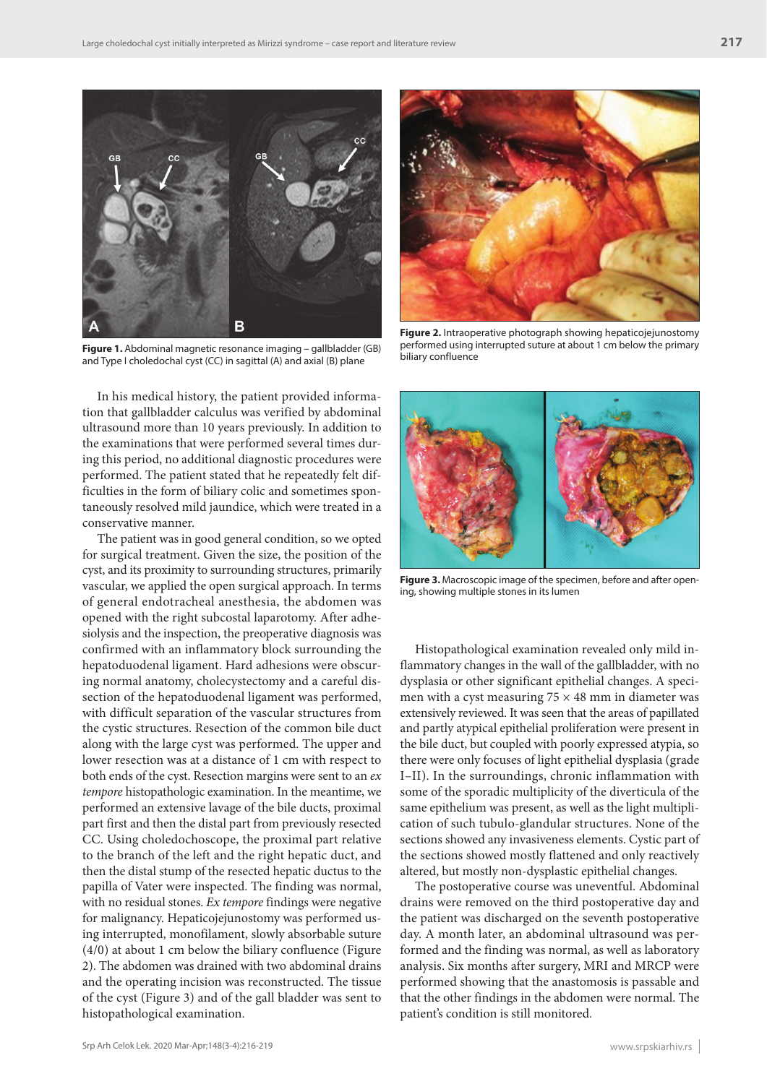

**Figure 1.** Abdominal magnetic resonance imaging – gallbladder (GB) and Type I choledochal cyst (CC) in sagittal (A) and axial (B) plane

In his medical history, the patient provided information that gallbladder calculus was verified by abdominal ultrasound more than 10 years previously. In addition to the examinations that were performed several times during this period, no additional diagnostic procedures were performed. The patient stated that he repeatedly felt difficulties in the form of biliary colic and sometimes spontaneously resolved mild jaundice, which were treated in a conservative manner.

The patient was in good general condition, so we opted for surgical treatment. Given the size, the position of the cyst, and its proximity to surrounding structures, primarily vascular, we applied the open surgical approach. In terms of general endotracheal anesthesia, the abdomen was opened with the right subcostal laparotomy. After adhesiolysis and the inspection, the preoperative diagnosis was confirmed with an inflammatory block surrounding the hepatoduodenal ligament. Hard adhesions were obscuring normal anatomy, cholecystectomy and a careful dissection of the hepatoduodenal ligament was performed, with difficult separation of the vascular structures from the cystic structures. Resection of the common bile duct along with the large cyst was performed. The upper and lower resection was at a distance of 1 cm with respect to both ends of the cyst. Resection margins were sent to an *ex tempore* histopathologic examination. In the meantime, we performed an extensive lavage of the bile ducts, proximal part first and then the distal part from previously resected CC. Using choledochoscope, the proximal part relative to the branch of the left and the right hepatic duct, and then the distal stump of the resected hepatic ductus to the papilla of Vater were inspected. The finding was normal, with no residual stones. *Ex tempore* findings were negative for malignancy. Hepaticojejunostomy was performed using interrupted, monofilament, slowly absorbable suture (4/0) at about 1 cm below the biliary confluence (Figure 2). The abdomen was drained with two abdominal drains and the operating incision was reconstructed. The tissue of the cyst (Figure 3) and of the gall bladder was sent to histopathological examination.



**Figure 2.** Intraoperative photograph showing hepaticojejunostomy performed using interrupted suture at about 1 cm below the primary biliary confluence



**Figure 3.** Macroscopic image of the specimen, before and after opening, showing multiple stones in its lumen

Histopathological examination revealed only mild inflammatory changes in the wall of the gallbladder, with no dysplasia or other significant epithelial changes. A specimen with a cyst measuring  $75 \times 48$  mm in diameter was extensively reviewed. It was seen that the areas of papillated and partly atypical epithelial proliferation were present in the bile duct, but coupled with poorly expressed atypia, so there were only focuses of light epithelial dysplasia (grade I–II). In the surroundings, chronic inflammation with some of the sporadic multiplicity of the diverticula of the same epithelium was present, as well as the light multiplication of such tubulo-glandular structures. None of the sections showed any invasiveness elements. Cystic part of the sections showed mostly flattened and only reactively altered, but mostly non-dysplastic epithelial changes.

The postoperative course was uneventful. Abdominal drains were removed on the third postoperative day and the patient was discharged on the seventh postoperative day. A month later, an abdominal ultrasound was performed and the finding was normal, as well as laboratory analysis. Six months after surgery, MRI and MRCP were performed showing that the anastomosis is passable and that the other findings in the abdomen were normal. The patient's condition is still monitored.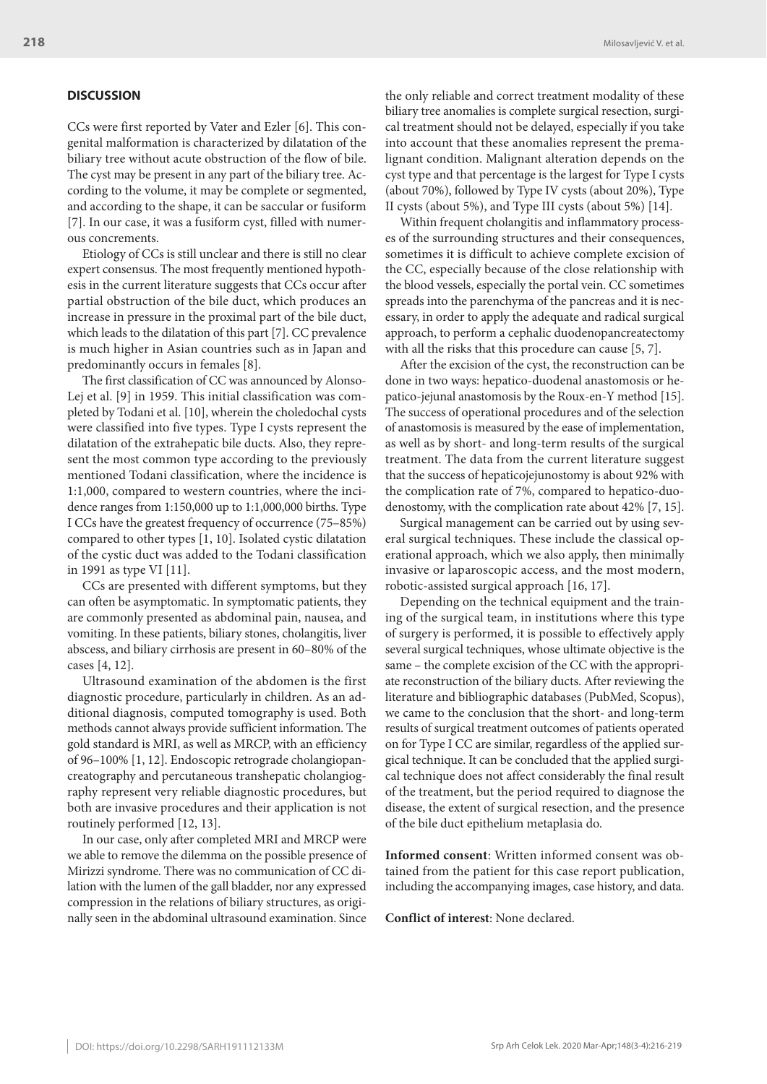## **DISCUSSION**

CCs were first reported by Vater and Ezler [6]. This congenital malformation is characterized by dilatation of the biliary tree without acute obstruction of the flow of bile. The cyst may be present in any part of the biliary tree. According to the volume, it may be complete or segmented, and according to the shape, it can be saccular or fusiform [7]. In our case, it was a fusiform cyst, filled with numerous concrements.

Etiology of CCs is still unclear and there is still no clear expert consensus. The most frequently mentioned hypothesis in the current literature suggests that CCs occur after partial obstruction of the bile duct, which produces an increase in pressure in the proximal part of the bile duct, which leads to the dilatation of this part [7]. CC prevalence is much higher in Asian countries such as in Japan and predominantly occurs in females [8].

The first classification of CC was announced by Alonso-Lej et al. [9] in 1959. This initial classification was completed by Todani et al. [10], wherein the choledochal cysts were classified into five types. Type I cysts represent the dilatation of the extrahepatic bile ducts. Also, they represent the most common type according to the previously mentioned Todani classification, where the incidence is 1:1,000, compared to western countries, where the incidence ranges from 1:150,000 up to 1:1,000,000 births. Type I CCs have the greatest frequency of occurrence (75–85%) compared to other types [1, 10]. Isolated cystic dilatation of the cystic duct was added to the Todani classification in 1991 as type VI [11].

CCs are presented with different symptoms, but they can often be asymptomatic. In symptomatic patients, they are commonly presented as abdominal pain, nausea, and vomiting. In these patients, biliary stones, cholangitis, liver abscess, and biliary cirrhosis are present in 60–80% of the cases [4, 12].

Ultrasound examination of the abdomen is the first diagnostic procedure, particularly in children. As an additional diagnosis, computed tomography is used. Both methods cannot always provide sufficient information. The gold standard is MRI, as well as MRCP, with an efficiency of 96–100% [1, 12]. Endoscopic retrograde cholangiopancreatography and percutaneous transhepatic cholangiography represent very reliable diagnostic procedures, but both are invasive procedures and their application is not routinely performed [12, 13].

In our case, only after completed MRI and MRCP were we able to remove the dilemma on the possible presence of Mirizzi syndrome. There was no communication of CC dilation with the lumen of the gall bladder, nor any expressed compression in the relations of biliary structures, as originally seen in the abdominal ultrasound examination. Since the only reliable and correct treatment modality of these biliary tree anomalies is complete surgical resection, surgical treatment should not be delayed, especially if you take into account that these anomalies represent the premalignant condition. Malignant alteration depends on the cyst type and that percentage is the largest for Type I cysts (about 70%), followed by Type IV cysts (about 20%), Type II cysts (about 5%), and Type III cysts (about 5%) [14].

Within frequent cholangitis and inflammatory processes of the surrounding structures and their consequences, sometimes it is difficult to achieve complete excision of the CC, especially because of the close relationship with the blood vessels, especially the portal vein. CC sometimes spreads into the parenchyma of the pancreas and it is necessary, in order to apply the adequate and radical surgical approach, to perform a cephalic duodenopancreatectomy with all the risks that this procedure can cause [5, 7].

After the excision of the cyst, the reconstruction can be done in two ways: hepatico-duodenal anastomosis or hepatico-jejunal anastomosis by the Roux-en-Y method [15]. The success of operational procedures and of the selection of anastomosis is measured by the ease of implementation, as well as by short- and long-term results of the surgical treatment. The data from the current literature suggest that the success of hepaticojejunostomy is about 92% with the complication rate of 7%, compared to hepatico-duodenostomy, with the complication rate about 42% [7, 15].

Surgical management can be carried out by using several surgical techniques. These include the classical operational approach, which we also apply, then minimally invasive or laparoscopic access, and the most modern, robotic-assisted surgical approach [16, 17].

Depending on the technical equipment and the training of the surgical team, in institutions where this type of surgery is performed, it is possible to effectively apply several surgical techniques, whose ultimate objective is the same – the complete excision of the CC with the appropriate reconstruction of the biliary ducts. After reviewing the literature and bibliographic databases (PubMed, Scopus), we came to the conclusion that the short- and long-term results of surgical treatment outcomes of patients operated on for Type I CC are similar, regardless of the applied surgical technique. It can be concluded that the applied surgical technique does not affect considerably the final result of the treatment, but the period required to diagnose the disease, the extent of surgical resection, and the presence of the bile duct epithelium metaplasia do.

**Informed consent**: Written informed consent was obtained from the patient for this case report publication, including the accompanying images, case history, and data.

**Conflict of interest**: None declared.